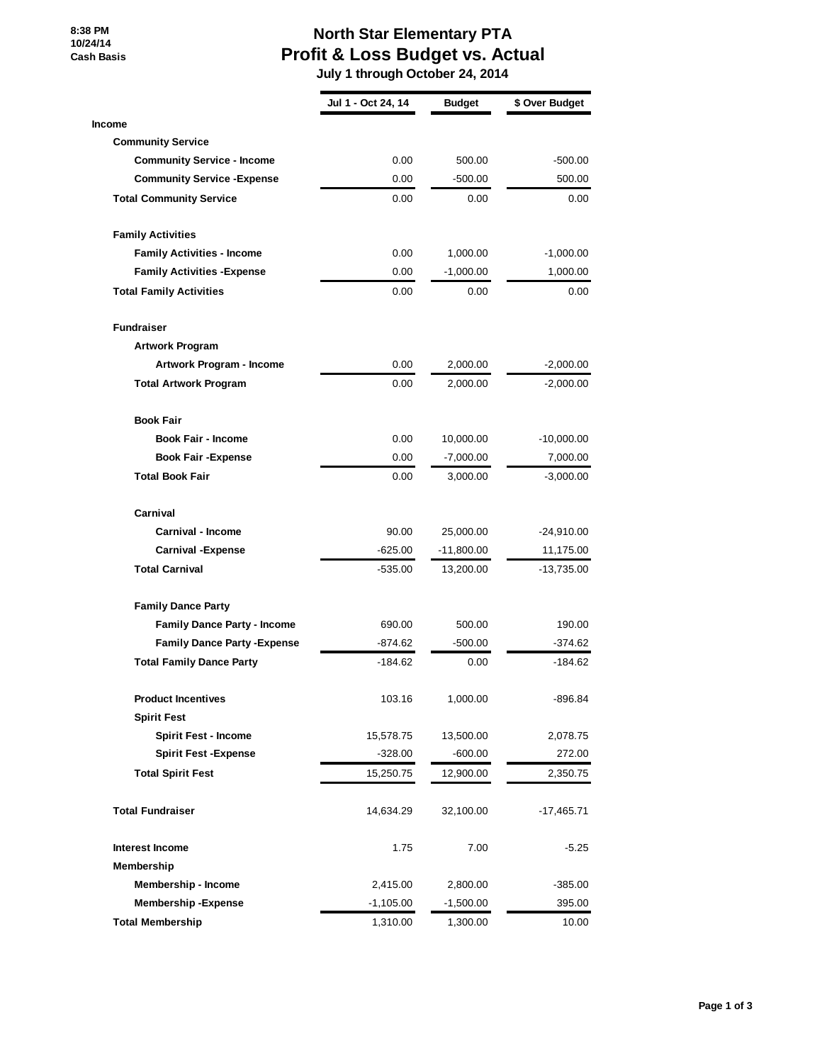**8:38 PM 10/24/14 Cash Basis**

## **North Star Elementary PTA Profit & Loss Budget vs. Actual**

 **July 1 through October 24, 2014**

|                                     | Jul 1 - Oct 24, 14 | <b>Budget</b> | \$ Over Budget |
|-------------------------------------|--------------------|---------------|----------------|
| <b>Income</b>                       |                    |               |                |
| <b>Community Service</b>            |                    |               |                |
| <b>Community Service - Income</b>   | 0.00               | 500.00        | $-500.00$      |
| <b>Community Service - Expense</b>  | 0.00               | $-500.00$     | 500.00         |
| <b>Total Community Service</b>      | 0.00               | 0.00          | 0.00           |
| <b>Family Activities</b>            |                    |               |                |
| <b>Family Activities - Income</b>   | 0.00               | 1,000.00      | $-1,000.00$    |
| <b>Family Activities - Expense</b>  | 0.00               | $-1,000.00$   | 1,000.00       |
| <b>Total Family Activities</b>      | 0.00               | 0.00          | 0.00           |
| <b>Fundraiser</b>                   |                    |               |                |
| <b>Artwork Program</b>              |                    |               |                |
| Artwork Program - Income            | 0.00               | 2,000.00      | $-2,000.00$    |
| <b>Total Artwork Program</b>        | 0.00               | 2,000.00      | $-2,000.00$    |
| <b>Book Fair</b>                    |                    |               |                |
| <b>Book Fair - Income</b>           | 0.00               | 10,000.00     | $-10,000.00$   |
| <b>Book Fair - Expense</b>          | 0.00               | $-7,000.00$   | 7,000.00       |
| <b>Total Book Fair</b>              | 0.00               | 3,000.00      | $-3,000.00$    |
| Carnival                            |                    |               |                |
| Carnival - Income                   | 90.00              | 25,000.00     | $-24,910.00$   |
| <b>Carnival - Expense</b>           | -625.00            | $-11,800.00$  | 11,175.00      |
| <b>Total Carnival</b>               | -535.00            | 13,200.00     | -13,735.00     |
| <b>Family Dance Party</b>           |                    |               |                |
| <b>Family Dance Party - Income</b>  | 690.00             | 500.00        | 190.00         |
| <b>Family Dance Party - Expense</b> | -874.62            | $-500.00$     | -374.62        |
| <b>Total Family Dance Party</b>     | $-184.62$          | 0.00          | $-184.62$      |
| <b>Product Incentives</b>           | 103.16             | 1,000.00      | -896.84        |
| <b>Spirit Fest</b>                  |                    |               |                |
| <b>Spirit Fest - Income</b>         | 15,578.75          | 13,500.00     | 2,078.75       |
| <b>Spirit Fest - Expense</b>        | $-328.00$          | $-600.00$     | 272.00         |
| <b>Total Spirit Fest</b>            | 15,250.75          | 12,900.00     | 2,350.75       |
| <b>Total Fundraiser</b>             | 14,634.29          | 32,100.00     | $-17,465.71$   |
| Interest Income                     | 1.75               | 7.00          | $-5.25$        |
| Membership                          |                    |               |                |
| Membership - Income                 | 2,415.00           | 2,800.00      | $-385.00$      |
| <b>Membership-Expense</b>           | $-1,105.00$        | $-1,500.00$   | 395.00         |
| <b>Total Membership</b>             | 1,310.00           | 1,300.00      | 10.00          |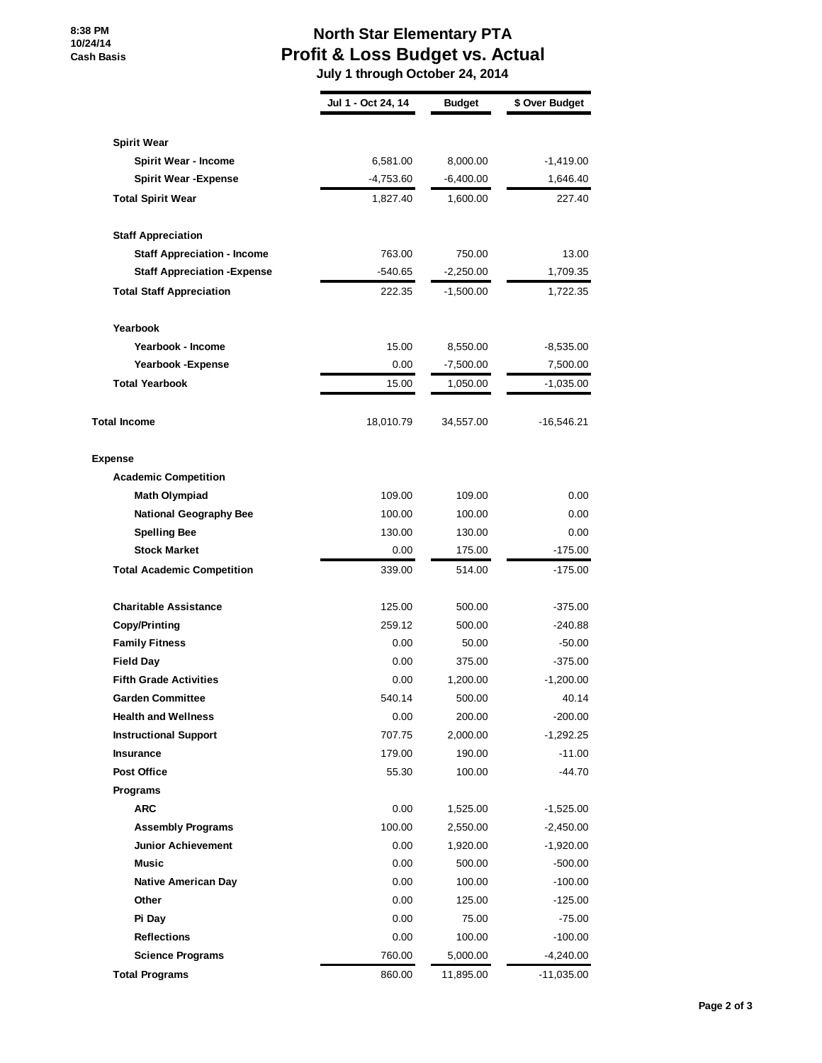## **North Star Elementary PTA Profit & Loss Budget vs. Actual**

 **July 1 through October 24, 2014**

|                                     | Jul 1 - Oct 24, 14 | <b>Budget</b> | \$ Over Budget |
|-------------------------------------|--------------------|---------------|----------------|
|                                     |                    |               |                |
| <b>Spirit Wear</b>                  |                    |               |                |
| Spirit Wear - Income                | 6,581.00           | 8,000.00      | $-1,419.00$    |
| <b>Spirit Wear - Expense</b>        | $-4,753.60$        | $-6,400.00$   | 1,646.40       |
| <b>Total Spirit Wear</b>            | 1,827.40           | 1,600.00      | 227.40         |
| <b>Staff Appreciation</b>           |                    |               |                |
| <b>Staff Appreciation - Income</b>  | 763.00             | 750.00        | 13.00          |
| <b>Staff Appreciation - Expense</b> | -540.65            | $-2,250.00$   | 1,709.35       |
| <b>Total Staff Appreciation</b>     | 222.35             | $-1,500.00$   | 1,722.35       |
| Yearbook                            |                    |               |                |
| Yearbook - Income                   | 15.00              | 8,550.00      | $-8,535.00$    |
| Yearbook - Expense                  | 0.00               | $-7,500.00$   | 7,500.00       |
| <b>Total Yearbook</b>               | 15.00              | 1,050.00      | $-1,035.00$    |
| <b>Total Income</b>                 | 18,010.79          | 34,557.00     | $-16,546.21$   |
| <b>Expense</b>                      |                    |               |                |
| <b>Academic Competition</b>         |                    |               |                |
| <b>Math Olympiad</b>                | 109.00             | 109.00        | 0.00           |
| <b>National Geography Bee</b>       | 100.00             | 100.00        | 0.00           |
| <b>Spelling Bee</b>                 | 130.00             | 130.00        | 0.00           |
| <b>Stock Market</b>                 | 0.00               | 175.00        | $-175.00$      |
| <b>Total Academic Competition</b>   | 339.00             | 514.00        | -175.00        |
| <b>Charitable Assistance</b>        | 125.00             | 500.00        | -375.00        |
| <b>Copy/Printing</b>                | 259.12             | 500.00        | $-240.88$      |
| <b>Family Fitness</b>               | 0.00               | 50.00         | $-50.00$       |
| <b>Field Day</b>                    | 0.00               | 375.00        | -375.00        |
| <b>Fifth Grade Activities</b>       | 0.00               | 1,200.00      | $-1,200.00$    |
| <b>Garden Committee</b>             | 540.14             | 500.00        | 40.14          |
| <b>Health and Wellness</b>          | 0.00               | 200.00        | -200.00        |
| <b>Instructional Support</b>        | 707.75             | 2,000.00      | $-1,292.25$    |
| Insurance                           | 179.00             | 190.00        | $-11.00$       |
| <b>Post Office</b>                  | 55.30              | 100.00        | $-44.70$       |
| <b>Programs</b>                     |                    |               |                |
| <b>ARC</b>                          | 0.00               | 1,525.00      | $-1,525.00$    |
| <b>Assembly Programs</b>            | 100.00             | 2,550.00      | $-2,450.00$    |
| <b>Junior Achievement</b>           | 0.00               | 1,920.00      | $-1,920.00$    |
| Music                               | 0.00               | 500.00        | $-500.00$      |
| <b>Native American Day</b>          | 0.00               | 100.00        | $-100.00$      |
| Other                               | 0.00               | 125.00        | $-125.00$      |
| Pi Day                              | 0.00               | 75.00         | $-75.00$       |
| <b>Reflections</b>                  | 0.00               | 100.00        | $-100.00$      |
| <b>Science Programs</b>             | 760.00             | 5,000.00      | $-4,240.00$    |
| <b>Total Programs</b>               | 860.00             | 11,895.00     | $-11,035.00$   |